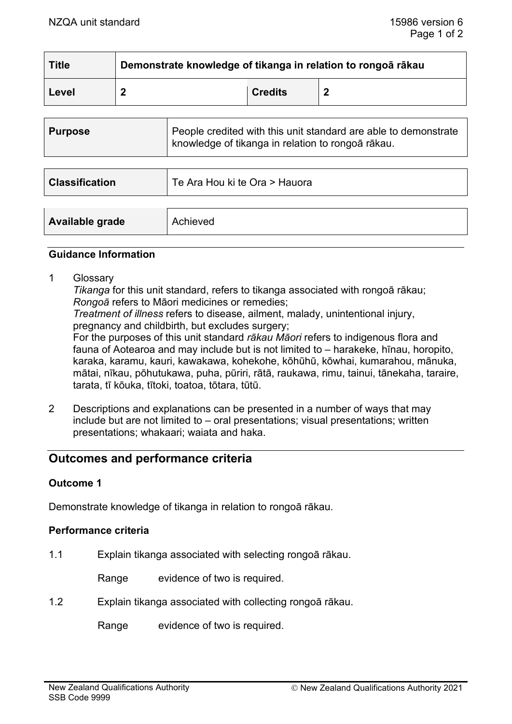| <b>Title</b> | Demonstrate knowledge of tikanga in relation to rongoā rākau |                |  |
|--------------|--------------------------------------------------------------|----------------|--|
| Level        | ◠                                                            | <b>Credits</b> |  |

| <b>Purpose</b>        | People credited with this unit standard are able to demonstrate<br>knowledge of tikanga in relation to rongoā rākau. |
|-----------------------|----------------------------------------------------------------------------------------------------------------------|
|                       |                                                                                                                      |
| <b>Classification</b> | Te Ara Hou ki te Ora > Hauora                                                                                        |
|                       |                                                                                                                      |
| Available grade       | Achieved                                                                                                             |

### **Guidance Information**

1 Glossary

*Tikanga* for this unit standard, refers to tikanga associated with rongoā rākau; *Rongoā* refers to Māori medicines or remedies;

*Treatment of illness* refers to disease, ailment, malady, unintentional injury, pregnancy and childbirth, but excludes surgery;

For the purposes of this unit standard *rākau Māori* refers to indigenous flora and fauna of Aotearoa and may include but is not limited to – harakeke, hīnau, horopito, karaka, karamu, kauri, kawakawa, kohekohe, kōhūhū, kōwhai, kumarahou, mānuka, mātai, nīkau, pōhutukawa, puha, pūriri, rātā, raukawa, rimu, tainui, tānekaha, taraire, tarata, tī kōuka, tītoki, toatoa, tōtara, tūtū.

2 Descriptions and explanations can be presented in a number of ways that may include but are not limited to – oral presentations; visual presentations; written presentations; whakaari; waiata and haka.

# **Outcomes and performance criteria**

### **Outcome 1**

Demonstrate knowledge of tikanga in relation to rongoā rākau.

### **Performance criteria**

1.1 Explain tikanga associated with selecting rongoā rākau.

Range evidence of two is required.

1.2 Explain tikanga associated with collecting rongoā rākau.

Range evidence of two is required.